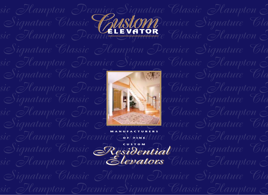

*sic Hampton Premier Signature Classic Hampton P*

*Signature Classic Hampton Premier Signature Cla*

sic Hampton Premi<br>Signature Classic Hampton Signature Cla sic Hampton Premier Signal Classic Hampton *Signature Classic Hampton Premier Signature Cla*



**MANUFACTURERS**

*sic Hampton Premier Signature Classic Hampton P* Signature Classic Residential<sup>mier</sup> Signature Cla sic Hampton Premi**Eleyators** Classic Hampton S **OF FINE CUSTOM** *Residential Elevators Residential Elevators*

*sic Hampton Premier Signature Classic Hampton P*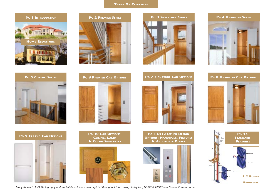# **TABLE OF CONTENTS**





















**PG 9 CLASSIC CAB OPTIONS**



**PG 10 CAB OPTIONS: CEILING, LAMP, & COLOR SELECTIONS**



**PG 11&12 OTHER DESIGN OPTIONS: HANDRAILS, FIXTURES & ACCORDION DOORS**



*Many thanks to RVO Photography and the builders of fine homes depicted throughout this catalog: Astley Inc., ERNST & ERNST and Grande Custom Homes*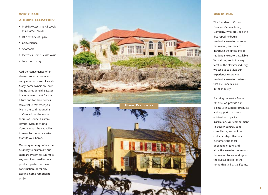# **WHY CHOOSE**

# **A HOME ELEVATOR?**

- Mobility/Access to All Levels of a Home Forever
- Efficient Use of Space
- Convenience
- Affordable
- Increases Home Resale Value
- Touch of Luxury

Add the convenience of an elevator to your home and enjoy a more relaxed lifestyle. Many homeowners are now finding a residential elevator is a wise investment for the future and for their homes' resale value. Whether you live in the cold mountains of Colorado or the warm shores of Florida, Custom Elevator Manufacturing Company has the capability to manufacture an elevator that fits your home.

Our unique design offers the flexibility to customize our standard system to suit most any conditions making our products perfect for new construction, or for any existing home remodeling project.



# **OUR MISSION**

The founders of Custom Elevator Manufacturing Company, who provided the first roped hydraulic residential elevator to enter the market, are back to introduce the finest line of residential elevators available. With strong roots in every facet of the elevator industry, we set out to utilize our experience to provide residential elevator systems that are unparalleled in the industry.

Focusing on *service beyond the sale,* we provide our clients with superior products and support to assure an efficient and quality installation. Our commitment to quality control, code compliance, and unique craftsmanship offers our customers the most dependable, safe, and attractive elevator system on the market today, adding to the overall appeal of the home that will last a lifetime.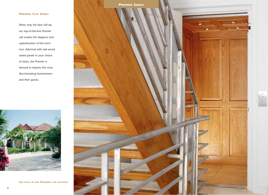# **PREMIER CAB SERIES**

When only the best will do, our top-of-the-line Premier cab evokes the elegance and sophistication of fine furniture. Adorned with real wood raised panels in your choice of stains, the Premier is dressed to impress the most discriminating homeowners and their guests.



**SEE PAGE 6 FOR PREMIER CAB OPTIONS**

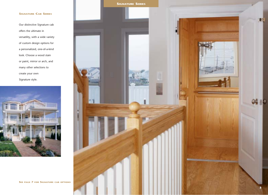# **SIGNATURE CAB SERIES**

Our distinctive Signature cab offers the ultimate in versatility, with a wide variety of custom design options for a personalized, one-of-a-kind look. Choose a wood stain or paint, mirror or arch, and many other selections to create your own Signature style.



**SEE PAGE 7 FOR SIGNATURE CAB OPTIONS**

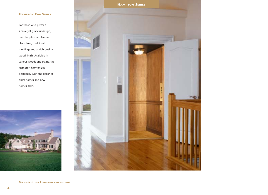# **HAMPTON CAB SERIES**

For those who prefer a simple yet graceful design, our Hampton cab features clean lines, traditional moldings and a high quality wood finish. Available in various woods and stains, the Hampton harmonizes beautifully with the décor of older homes and new homes alike.





**SEE PAGE 8 FOR HAMPTON CAB OPTIONS**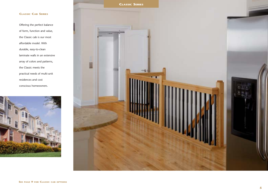# **CLASSIC CAB SERIES**

Offering the perfect balance of form, function and value, the Classic cab is our most affordable model. With durable, easy-to-clean laminate walls in an extensive array of colors and patterns, the Classic meets the practical needs of multi-unit residences and cost conscious homeowners.



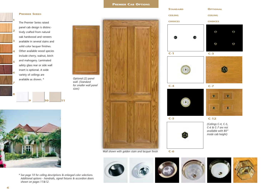**PREMIER CAB OPTIONS**

### **PREMIER SERIES**

**2**

**3**

**4**

**5**

**6**

**7**

**8**

The Premier Series raised panel cab design is distinctively crafted from natural oak hardwood and veneers available in several stains and solid color lacquer finishes. Other available wood species include cherry, walnut, birch and mahogany. Laminated safety glass rear or side wall insert is optional. A wide variety of ceilings are available as shown. \*

**9 10 11**



*\* See page 10 for ceiling descriptions & enlarged color selections. Additional options - handrails, signal fixtures & accordion doors shown on pages 11&12.*

*wall. (Standard* 

*sizes)*



*Wall shown with golden stain and lacquer finish*





**C-6**







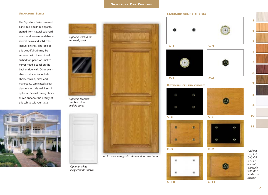# **SIGNATURE CAB OPTIONS**

### **SIGNATURE SERIES**

The Signature Series recessed panel cab design is elegantly crafted from natural oak hardwood and veneers available in several stains and solid color lacquer finishes. The look of this beautiful cab may be accented with the optional arched top panel or smoked mirror middle panel on the back or side wall. Other available wood species include cherry, walnut, birch and mahogany. Laminated safety glass rear or side wall insert is optional. Several ceiling choices can enhance the beauty of this cab to suit your taste. \*



*Optional arched top recessed panel*



*smoked mirror middle panel*









*Optional white lacquer finish shown*



*Wall shown with golden stain and lacquer finish*





*(Ceilings* 

**1**

**2**

**3**

**4**

**5**

**6**

**7**

**8**

**9**

**10**

**11**

### **STANDARD CEILING CHOICES**

**C-10 C-11**

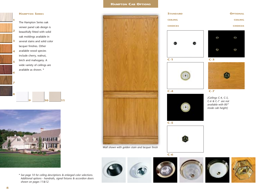# **HAMPTON CAB OPTIONS**

### **HAMPTON SERIES**

**1**

**2**

**3**

**4**

**5**

**6**

**7**

**8**

The Hampton Series oak veneer panel cab design is beautifully fitted with solid oak moldings available in several stains and solid color lacquer finishes. Other available wood species include cherry, walnut, birch and mahogany. A wide variety of ceilings are available as shown. \*

**9 10 11**



*\* See page 10 for ceiling descriptions & enlarged color selections. Additional options - handrails, signal fixtures & accordion doors shown on pages 11&12.*









**C-6**

**C-1**

**C-4**

**C-5**

**STANDARD CEILING CHOICES**





**OPTIONAL CEILING CHOICES**

 $0.9$ 

O

*(Ceilings C-4, C-5, C-6 & C-7 are not available with 80" inside cab height)*

**C-3**

e a

ω



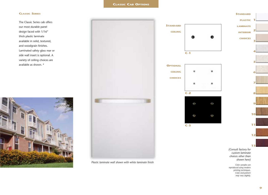## **CLASSIC SERIES**

The Classic Series cab offers our most durable panel design faced with 1/16" thick plastic laminate available in solid, textured, and woodgrain finishes. Laminated safety glass rear or side wall insert is optional. A variety of ceiling choices are available as shown. \*





*Plastic laminate wall shown with white laminate finish*



*custom laminate choices other than shown here)*

*Color samples are reproduced using modern printing techniques. Color and pattern may vary slightly.*

**1**

**STANDARD**

**2**

**3**

**4**

**5**

**6**

**7**

**8**

**9**

**10**

**11**

**12**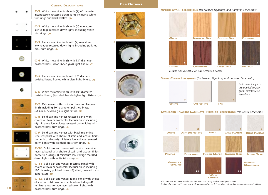# **C-1** White melamine finish with (2) 4" diameter **CEILING DESCRIPTIONS 1**



incandescent recessed down lights including white trim rings and black baffles. **(6)**

**C-2** White melamine finish with (4) miniature low voltage recessed down lights including white trim rings. **(5)**

**C-3** Black melamine finish with (4) miniature low voltage recessed down lights including polished brass trim rings. **(4)**



**C-4** White melamine finish with 13" diameter, polished brass, clear ribbed glass light fixture. **(3)**



**C-5** Black melamine finish with 12" diameter, polished brass, frosted white glass light fixture. **(2)**



**C-6** White melamine finish with 10" diameter, polished brass, (6) sided, beveled glass light fixture. **(1)**



**C-7** Oak veneer with choice of stain and lacquer finish including 10" diameter, polished brass, (6) sided, beveled glass light fixture. **(1)**



**C-8** Solid oak and veneer recessed panel with choice of stain or solid color lacquer finish including (4) miniature low voltage recessed down lights with polished brass trim rings. **(4)**



**C-9** Solid oak and veneer with black melamine recessed panel with choice of stain and lacquer finish border including (4) miniature low voltage recessed down lights with polished brass trim rings. **(4)**



Ŵ

**C-10** Solid oak and veneer with white melamine recessed panel with choice of stain and lacquer finish border including (4) miniature low voltage recessed down lights with white trim rings. **(5)**

**C-11** Solid oak and veneer recessed panel with choice of stain or solid color lacquer finish including 10" diameter, polished brass, (6) sided, beveled glass light fixture. **(1)**



**C-12** Solid oak and veneer raised panel with choice of stain or solid color lacquer finish including (4) miniature low voltage recessed down lights with polished brass trim rings. **(4)**

# **CAB OPTIONS**













### **WOOD STAIN SELECTIONS** *(for Premier, Signature, and Hampton Series cabs)*







*(Stains also available on oak accordion doors)*

# **SOLID COLOR LACQUERS** *(for Premier, Signature, and Hampton Series cabs)*







**9** 10 11

## **STANDARD PLASTIC LAMINATE INTERIOR SELECTIONS** *(for Classic Series cabs)*



*This color selector shows samples that are reproduced using modern printing techniques. Additionally, grain and texture vary in all natural hardwoods. It is therefore not possible to guarantee a match finish.*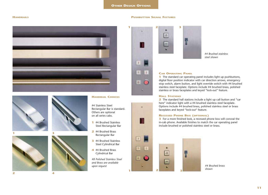## **OTHER DESIGN OPTIONS**

 $\sqrt{3}$ 

 $|T|$ 

 $|2|$ 

E

 $\boxed{3}$ 

 $|1|$ 

4

 $|2|$ 

### **HANDRAILS PUSHBUTTON SIGNAL FIXTURES**









# **HANDRAIL CHOICES**

#4 Stainless Steel Rectangular Bar is standard. Others are optional on all series cabs.

- **1** #4 Brushed Stainless Steel Rectangular Bar
- **2** #4 Brushed Brass Rectangular Bar
- **3** #4 Brushed Stainless Steel Cylindrical Bar
- **4** #4 Brushed Brass Cylindrical Bar
- *#8 Polished Stainless Steel and Brass are available upon request*



*#4 Brushed stainless steel shown*

### **CAR OPERATING PANEL**

**1** The standard car operating panel includes light up pushbuttons, digital floor position indicator with car direction arrows, emergency stop switch, alarm button, and light override switch with #4 brushed stainless steel faceplate. Options include #4 brushed brass, polished stainless or brass faceplates and keyed "lock-out" feature.

# **HALL STATIONS**

區

384

**2** The standard hall stations include a light up call button and "car here" indicator light with a #4 brushed stainless steel faceplate. Options include #4 brushed brass, polished stainless steel or brass faceplates and keyed "lock-out" feature.

# **RECESSED PHONE BOX (OPTIONAL)**

**3** For a more finished look, a recessed phone box will conceal the in-cab phone. Available finishes to match the car operating panel include brushed or polished stainless steel or brass.

# **1 2 3**

*#4 Brushed brass shown*



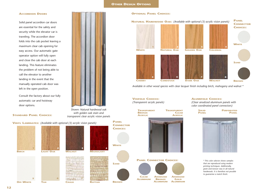### **OTHER DESIGN OPTIONS**

### **ACCORDION DOORS**

Solid panel accordion car doors are essential for the safety and security while the elevator car is traveling. The accordion door folds into the cab pocket leaving a maximum clear cab opening for easy access. Our automatic gate operator option will fully open and close the cab door at each landing. This feature eliminates the problem of not being able to call the elevator to another landing in the event that the manually operated cab door was left in the open position.

Consult the factory about our fully automatic car and hoistway door options.

**STANDARD PANEL CHOICES:**

*Shown: Natural hardwood oak with golden oak stain and transparent clear acrylic vision panels*





# **PANEL CONNECTOR CHOICES:**





**BROWN**



*Available in other wood species with clear lacquer finish including birch, mahogany and walnut \**

**CLEAR**

**VISIFOLD CHOICES:** *(Transparent acrylic panels)*

**OPTIONAL PANEL CHOICES:**

**TRANSPARENT BRONZE ACRYLIC TRANSPARENT**







### **ALUMIFOLD CHOICES:**

*(Clear anodized aluminum panels with color coordinated panel connectors)*

**SOLID PANEL** **PERFORATED PANEL**



*\* This color selector shows samples that are reproduced using modern printing techniques. Additionally, grain and texture vary in all natural hardwoods. It is therefore not possible to guarantee a match finish.*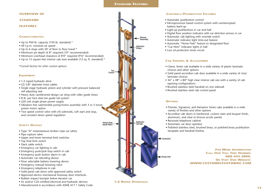### **STANDARD FEATURES**

## **OVERVIEW OF**

**STANDARD**

**FEATURES**

### **CHARACTERISTICS**

- Up to 950 lb. capacity (750 lb. standard) \*
- 40 f.p.m. nominal car speed
- Up to 6 stops with 50' of floor to floor travel \*
- Minimum pit depth of 8" required (10" recommended)
- Minimum overhead clearance of 8'0" required (9'6" recommended)
- Up to 15 square feet interior cab sizes available (12 sq. ft. standard) \*

\**Consult factory for other custom options.*

### **EQUIPMENT**

- 1:2 roped hydraulic drive
- (2) 3/8" diameter hoist cables
- Single stage hydraulic piston and cylinder with pressure balanced self adjusting seal
- Heavy duty cantilevered design car sling with roller guide shoes
- 8 lb. per foot steel tee guide rail system
- 220 volt single phase power supply
- Vibration free submersible pump/motor assembly with 3 or 5 horsepower motor option
- Two speed control valve with (4) solenoids, soft start and stop, and constant down speed regulation

### **SAFETY DEVICES**

- Type "A" instantaneous broken rope car safety
- Pipe rupture valve
- Upper and lower terminal limit switches
- Top final limit switch
- Slack cable switch
- Emergency car lighting in cab
- Emergency push/pull stop switch in cab
- Emergency push button alarm in cab
- Automatic car releveling device
- Floor selectable battery lowering device
- Emergency manual lowering valve
- Emergency telephone in cab
- Solid panel cab doors with approved safety switch
- Approved electro mechanical hoistway door interlocks
- Rubber impact bumper below elevator car
- UL and/or CSA certified electrical and hydraulic devices
- Manufactured in accordance with ASME A17.1 Safety Code



### **CONTROLS/PUSHBUTTON FIXTURES**

- Automatic pushbutton control
- Microprocessor based control system with uninterrupted battery back-up
- Light-up pushbuttons in car and hall
- Digital floor position indicator with car direction arrows in car
- Automatic cab lighting with override switch
- Automatic indicator light time-out feature
- Automatic "Home Park" feature to designated floor
- "Car Here" indicator lights in hall
- Low oil protection timer circuit

### **CAB FINISHES & ACCESSORIES**

- Classic Series cab available in a wide variety of plastic laminate choices and other options
- Solid panel accordion cab door available in a wide variety of vinyl laminate choices
- 36" x 48" x 80" high clear interior cab size with a variety of cab opening configurations
- Brushed stainless steel handrail on one sidewall
- Brushed stainless steel cab control panel

### **OPTIONS**

- Premier, Signature, and Hampton Series cabs available in a wide variety of finishes and other options
- Accordion cab doors in hardwood, custom stain and lacquer finish, aluminum, and clear or bronze acrylic panels
- Recessed telephone cabinet
- Automatic car door operator
- Polished stainless steel, brushed brass, or polished brass pushbutton faceplate and handrail finishes

**Controller**

**FOR MORE INFORMATION CALL OUR TOLL FREE NUMBER: 888-443-2800, OR VISIT OUR WEBSITE: WWW.CUSTOMELEVATORINC.COM** 

**1:2 ROPED HYDRAULIC**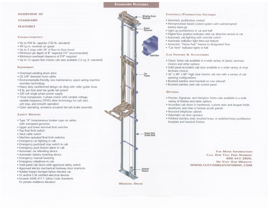### **STANDARD FEATURES**

### **OVERVIEW OF**

### **STANDARD**

**FEATURES** 

### **CHARACTERISTICS**

- . Up to 950 lb. capacity (750 lb. standard)
- 40 f.p.m. nominal car speed
- . Up to 5 stops with 50' of floor to floor travel
- · Minimum pit depth of 8" required (10" recommended)
- · Minimum overhead clearance of 9'0" required
- · Up to 15 square feet interior cab sizes available (12 sq. ft. standard)

### **EQUIPMENT**

- · Overhead winding drum drive
- · (2) 3/8" diameter hoist cables
- · Environmentally-friendly, low maintenance, space saving machine roomless technology
- · Heavy duty cantilevered design car sling with roller guide shoes
- · 8 lb. per foot steel tee quide rail system
- . 220 volt single phase power supply
- · Three horsepower, 3 phase motor with variable voltage, variable frequency (VVVF) drive technology for soft start, soft stop, and smooth operation
- · Quiet operating, armature actuated fail safe brake assembly

### **SAFETY DEVICES**

- · Type "A" instantaneous broken rope car safety with overspeed governor
- . Upper and lower terminal limit switches
- . Top final limit switch
- · Slack cable switch
- · Machine operated final limit switches
- · Emergency car lighting in cab
- · Emergency push/pull stop switch in cab
- · Emergency push button alarm in cab
- · Automatic car releveling device
- · Automatic battery lowering device
- · Emergency manual lowering
- · Emergency telephone in cab
- · Solid panel cab doors with approved safety switch
- · Approved electro mechanical hoistway door interlocks
- · Rubber impact bumper below elevator car
- · UL and/or CSA certified electrical devices
- · Exceeds ASME A17.1 Safety Code Standards for private residence elevators



### **CONTROLS/PUSHBUTTON FIXTURES**

- · Automatic pushbutton control
- · Microprocessor based control system with uninterrupted battery back-up
- · Light-up pushbuttons in car and hall
- . Digital floor position indicator with car direction arrows in car
- · Automatic cab lighting with override switch
- · Automatic indicator light time-out feature
- · Automatic "Home Park" feature to designated floor
- "Car Here" indicator lights in hall

### **CAB FINISHES & ACCESSORIES**

- · Classic Series cab available in a wide variety of plastic laminate choices and other options
- · Solid panel accordion cab door available in a wide variety of vinyl laminate choices
- 36" x 48" x 80" high clear interior cab size with a variety of cab opening configurations
- · Brushed stainless steel handrail on one sidewall
- · Brushed stainless steel cab control panel

### **OPTIONS**

- · Premier, Signature, and Hampton Series cabs available in a wide variety of finishes and other options
- · Accordion cab doors in hardwood, custom stain and lacquer finish, aluminum, and clear or bronze acrylic panels
- · Recessed telephone cabinet
- · Automatic car door operator
- · Polished stainless steel, brushed brass, or polished brass pushbutton faceplate and handrail finishes

**FOR MORE INFORMATION CALL OUR TOLL FREE NUMBER:** 888-443-2800. OR VISIT OUR WEBSITE: WWW.CUSTOMELEVATORINC.COM